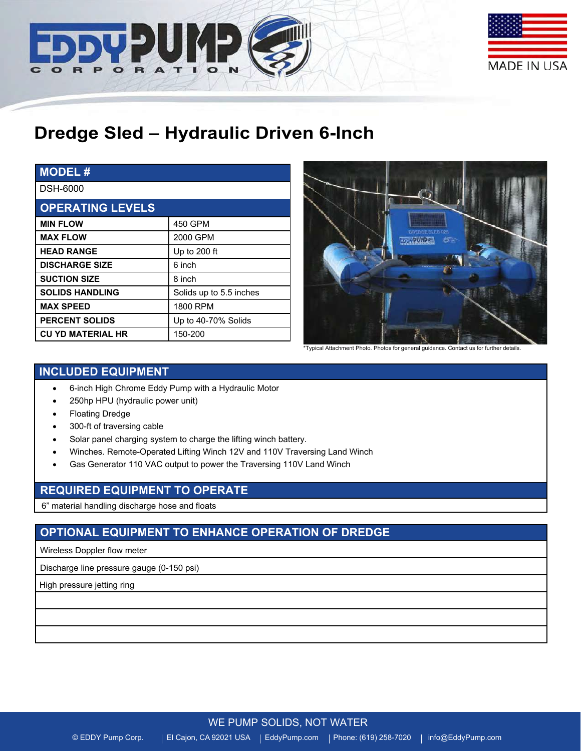



# **Dredge Sled – Hydraulic Driven 6-Inch**

| <b>MODEL#</b>            |                         |
|--------------------------|-------------------------|
| <b>DSH-6000</b>          |                         |
| <b>OPERATING LEVELS</b>  |                         |
| <b>MIN FLOW</b>          | 450 GPM                 |
| <b>MAX FLOW</b>          | 2000 GPM                |
| <b>HEAD RANGE</b>        | Up to 200 ft            |
| <b>DISCHARGE SIZE</b>    | 6 inch                  |
| <b>SUCTION SIZE</b>      | 8 inch                  |
| <b>SOLIDS HANDLING</b>   | Solids up to 5.5 inches |
| <b>MAX SPEED</b>         | 1800 RPM                |
| <b>PERCENT SOLIDS</b>    | Up to 40-70% Solids     |
| <b>CU YD MATERIAL HR</b> | 150-200                 |



\*Typical Attachment Photo. Photos for general guidance. Contact us for further details.

# **INCLUDED EQUIPMENT**

- 6-inch High Chrome Eddy Pump with a Hydraulic Motor
- 250hp HPU (hydraulic power unit)
- Floating Dredge
- 300-ft of traversing cable
- Solar panel charging system to charge the lifting winch battery.
- Winches. Remote-Operated Lifting Winch 12V and 110V Traversing Land Winch
- Gas Generator 110 VAC output to power the Traversing 110V Land Winch

### **REQUIRED EQUIPMENT TO OPERATE**

6" material handling discharge hose and floats

# **OPTIONAL EQUIPMENT TO ENHANCE OPERATION OF DREDGE**

Wireless Doppler flow meter

Discharge line pressure gauge (0-150 psi)

High pressure jetting ring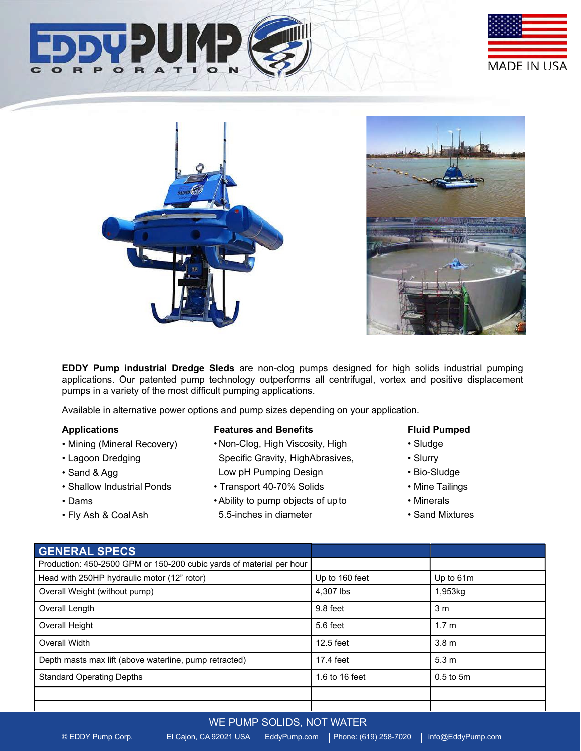





**EDDY Pump industrial Dredge Sleds** are non-clog pumps designed for high solids industrial pumping applications. Our patented pump technology outperforms all centrifugal, vortex and positive displacement pumps in a variety of the most difficult pumping applications.

Available in alternative power options and pump sizes depending on your application.

#### **Applications**

- Mining (Mineral Recovery)
- Lagoon Dredging
- Sand & Agg
- Shallow Industrial Ponds
- Dams
- Fly Ash & CoalAsh

#### **Features and Benefits**

- Non-Clog, High Viscosity, High Specific Gravity, HighAbrasives, Low pH Pumping Design
- Transport 40-70% Solids
- •Ability to pump objects of upto 5.5-inches in diameter

#### **Fluid Pumped**

- Sludge
- Slurry
- Bio-Sludge
- Mine Tailings
- Minerals
- Sand Mixtures

| <b>GENERAL SPECS</b>                                                 |                |                  |
|----------------------------------------------------------------------|----------------|------------------|
| Production: 450-2500 GPM or 150-200 cubic yards of material per hour |                |                  |
| Head with 250HP hydraulic motor (12" rotor)                          | Up to 160 feet | Up to 61m        |
| Overall Weight (without pump)                                        | 4.307 lbs      | 1,953kg          |
| Overall Length                                                       | 9.8 feet       | 3 <sub>m</sub>   |
| Overall Height                                                       | 5.6 feet       | 1.7 <sub>m</sub> |
| Overall Width                                                        | $12.5$ feet    | 3.8 <sub>m</sub> |
| Depth masts max lift (above waterline, pump retracted)               | 17.4 feet      | 5.3 <sub>m</sub> |
| <b>Standard Operating Depths</b>                                     | 1.6 to 16 feet | $0.5$ to $5m$    |
|                                                                      |                |                  |
|                                                                      |                |                  |